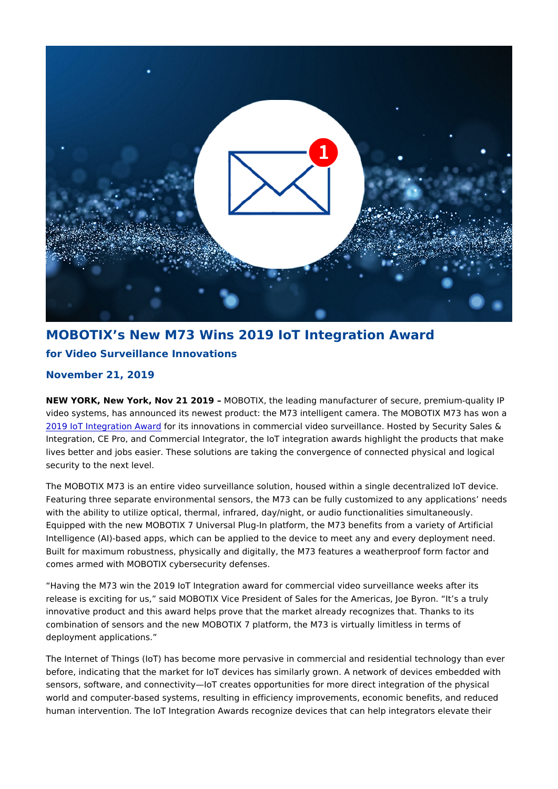## MOBOTIX s New M73 Wins 2019 IoT Integration Award for Video Surveillance Innovations

November 21, 2019

NEW YORK, New York, Nov 21 M20 B D TIX, the leading manufacturer of secure, premium video systems, has announced its newest product: the M73 intelligent camera. The M [2019 IoT Integratio](https://iotaward.secure-platform.com/a/gallery/rounds/122/details/32346)n foArwia sdinnovations in commercial video surveillance. Hosted by S Integration, CE Pro, and Commercial Integrator, the IoT integration awards highlight lives better and jobs easier. These solutions are taking the convergence of connecte security to the next level.

The MOBOTIX M73 is an entire video surveillance solution, housed within a single de Featuring three separate environmental sensors, the M73 can be fully customized to with the ability to utilize optical, thermal, infrared, day/night, or audio functionalitie Equipped with the new MOBOTIX 7 Universal Plug-In platform, the M73 benefits from Intelligence (AI)-based apps, which can be applied to the device to meet any and eve Built for maximum robustness, physically and digitally, the M73 features a weatherpr comes armed with MOBOTIX cybersecurity defenses.

Having the M73 win the 2019 IoT Integration award for commercial video surveillanc release is exciting for us, said MOBOTIX Vice President of Sales for the Americas, innovative product and this award helps prove that the market already recognizes than combination of sensors and the new MOBOTIX 7 platform, the M73 is virtually limitle deployment applications.

The Internet of Things (IoT) has become more pervasive in commercial and residenti before, indicating that the market for IoT devices has similarly grown. A network of  $d$ sensors, software, and connectivity IoT creates opportunities for more direct integra world and computer-based systems, resulting in efficiency improvements, economic b human intervention. The IoT Integration Awards recognize devices that can help inte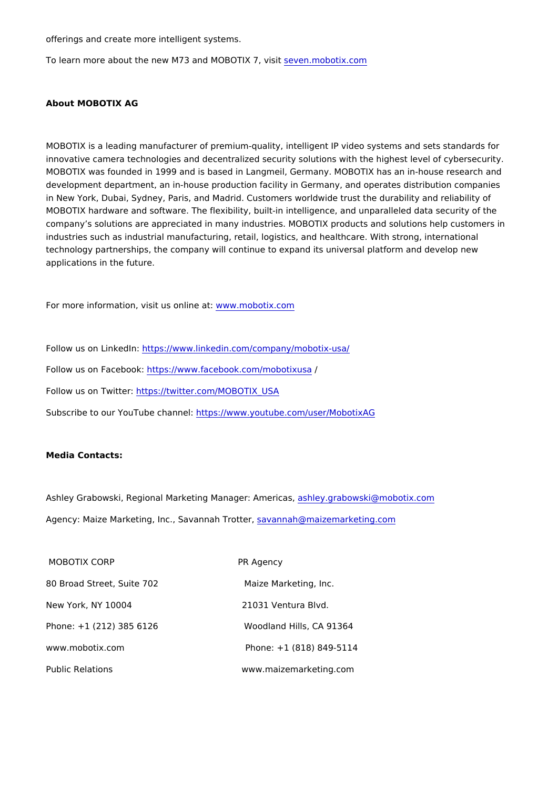offerings and create more intelligent systems.

To learn more about the new M73 and MOBOTIM o70, ovisitom

About MOBOTIX AG

MOBOTIX is a leading manufacturer of premium-quality, intelligent IP video systems innovative camera technologies and decentralized security solutions with the highest MOBOTIX was founded in 1999 and airsg basi betimany. MOBOTIX has an in-house researd development department, an in-house production facility in Germany, and operates d in New York, Dubai, Sydney, Paris, and Madrid. Customers worldwide trust the durab MOBOTIX hardware and software. The flexibility, built-in intelligence, and unparallel company s solutions are appreciated in many industries. MOBOTIX products and solu industries such as industrial manufacturing, retail, logistics, and healthcare. With st technology partnerships, the company will continue to expand its universal platform applications in the future.

For more information, visit uws wown. Immed cattix.com

Follow us on Linkted of  $\frac{1}{w}$  inkedin.com/company/mobotix-usa/

Follow us on Facebtook//www.facebook.com/mobotixusa

Follow us on T: whitt the perturbative r.com/MOBOTIX\_USA

Subscribe to our YouTubehtdtps:n/n/www.youtube.com/user/MobotixAG

Media Contacts:

Ashley Grabowski, Regional Marketing Manasonety. And machrowarsk, i@mobotix.com Agency: Maize Marketing, Inc., Savammamin Taho@t the ajzemarketing.com

MOBOTIX CORP **BEING A SET A SERVICE A SERVICE A SERVICE A SERVICE A SERVICE A SERVICE A SERVICE A SERVICE A SER** 80 Broad Street, Suite 702 Maize Marketing, Inc. New York, NY 10004 21031 Ventura Blvd. Phone: +1 (212) 385 6126 Woodland Hills, CA 91364 www.mobotix.com Phone: +1 (818) 849-5114 Public Relations www.maizemarketing.com